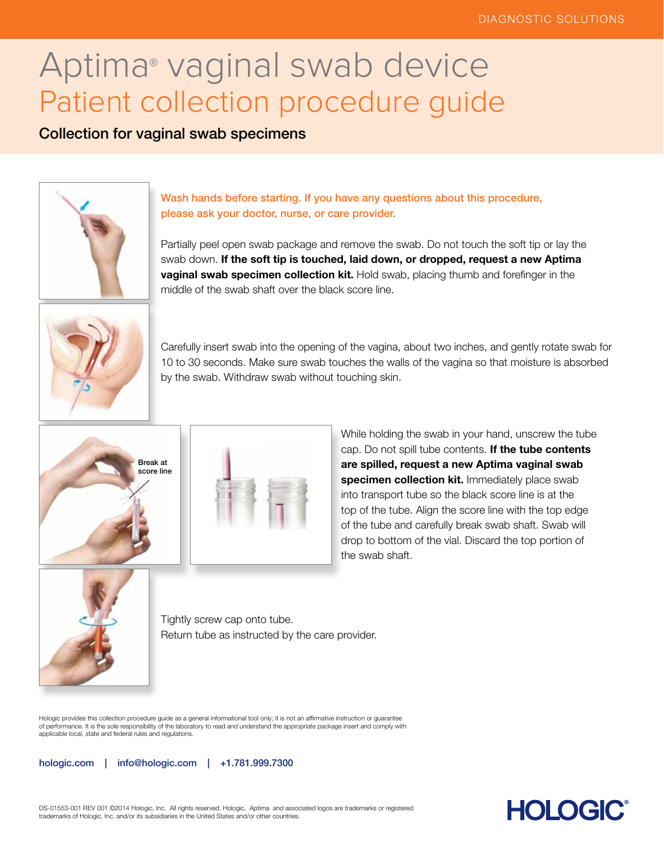## Aptima® vaginal swab device Patient collection procedure guide

### Collection for vaginal swab specimens



Wash hands before starting. If you have any questions about this procedure, please ask your doctor, nurse, or care provider.

Partially peel open swab package and remove the swab. Do not touch the soft tip or lay the swab down. If the soft tip is touched, laid down, or dropped, request a new Aptima **vaginal swab specimen collection kit.** Hold swab, placing thumb and forefinger in the middle of the swab shaft over the black score line.



Carefully insert swab into the opening of the vagina, about two inches, and gently rotate swab for 10 to 30 seconds. Make sure swab touches the walls of the vagina so that moisture is absorbed by the swab. Withdraw swab without touching skin.





While holding the swab in your hand, unscrew the tube cap. Do not spill tube contents. If the tube contents are spilled, request a new Aptima vaginal swab specimen collection kit. Immediately place swab into transport tube so the black score line is at the top of the tube. Align the score line with the top edge of the tube and carefully break swab shaft. Swab will drop to bottom of the vial. Discard the top portion of the swab shaft.



Tightly screw cap onto tube. Return tube as instructed by the care provider.

Hologic provides this collection procedure guide as a general informational tool only; it is not an affirmative instruction or guarantee of performance. It is the sole responsibility of the laboratory to read and understand the appropriate package insert and comply with applicable local, state and federal rules and regulations.

hologic.com | info@hologic.com | +1.781.999.7300

### **HOLOGIC®**

DS-01553-001 REV 001 ©2014 Hologic, Inc. All rights reserved. Hologic, Aptima and associated logos are trademarks or registered<br>trademarks of Hologic, Inc. and/or its subsidiaries in the United States and/or other countrie